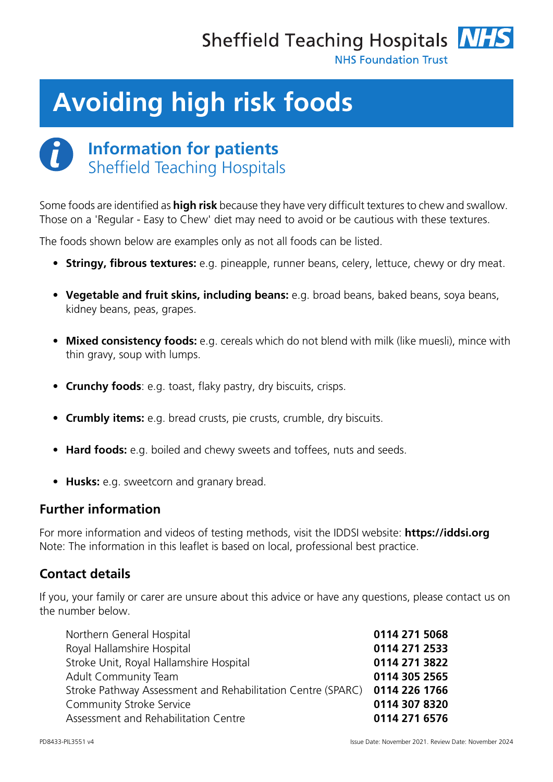

**NHS Foundation Trust** 

# **Avoiding high risk foods**



## **Information for patients** Sheffield Teaching Hospitals

Some foods are identified as **high risk** because they have very difficult textures to chew and swallow. Those on a 'Regular - Easy to Chew' diet may need to avoid or be cautious with these textures.

The foods shown below are examples only as not all foods can be listed.

- **Stringy, fibrous textures:** e.g. pineapple, runner beans, celery, lettuce, chewy or dry meat.
- **Vegetable and fruit skins, including beans:** e.g. broad beans, baked beans, soya beans, kidney beans, peas, grapes.
- **Mixed consistency foods:** e.g. cereals which do not blend with milk (like muesli), mince with thin gravy, soup with lumps.
- **Crunchy foods**: e.g. toast, flaky pastry, dry biscuits, crisps.
- **Crumbly items:** e.g. bread crusts, pie crusts, crumble, dry biscuits.
- **Hard foods:** e.g. boiled and chewy sweets and toffees, nuts and seeds.
- **Husks:** e.g. sweetcorn and granary bread.

### **Further information**

For more information and videos of testing methods, visit the IDDSI website: **[https://iddsi.org](https://iddsi.org/)** Note: The information in this leaflet is based on local, professional best practice.

### **Contact details**

If you, your family or carer are unsure about this advice or have any questions, please contact us on the number below.

| 0114 271 5068                                                             |
|---------------------------------------------------------------------------|
| 0114 271 2533                                                             |
| 0114 271 3822                                                             |
| 0114 305 2565                                                             |
| Stroke Pathway Assessment and Rehabilitation Centre (SPARC) 0114 226 1766 |
| 0114 307 8320                                                             |
| 0114 271 6576                                                             |
|                                                                           |